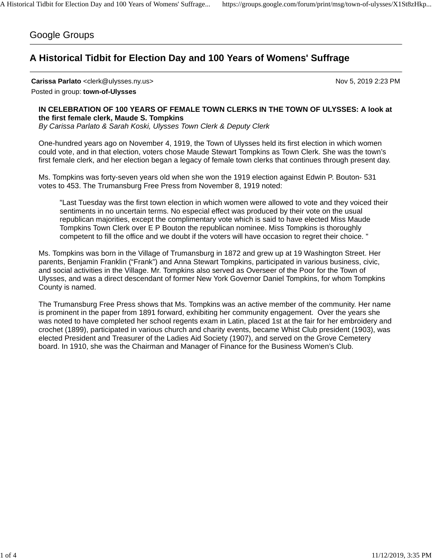## Google Groups

## **A Historical Tidbit for Election Day and 100 Years of Womens' Suffrage**

**Carissa Parlato** <clerk@ulysses.ny.us> Nov 5, 2019 2:23 PM

Posted in group: **town-of-Ulysses**

## **IN CELEBRATION OF 100 YEARS OF FEMALE TOWN CLERKS IN THE TOWN OF ULYSSES: A look at the first female clerk, Maude S. Tompkins**

*By Carissa Parlato & Sarah Koski, Ulysses Town Clerk & Deputy Clerk*

One-hundred years ago on November 4, 1919, the Town of Ulysses held its first election in which women could vote, and in that election, voters chose Maude Stewart Tompkins as Town Clerk. She was the town's first female clerk, and her election began a legacy of female town clerks that continues through present day.

Ms. Tompkins was forty-seven years old when she won the 1919 election against Edwin P. Bouton- 531 votes to 453. The Trumansburg Free Press from November 8, 1919 noted:

"Last Tuesday was the first town election in which women were allowed to vote and they voiced their sentiments in no uncertain terms. No especial effect was produced by their vote on the usual republican majorities, except the complimentary vote which is said to have elected Miss Maude Tompkins Town Clerk over E P Bouton the republican nominee. Miss Tompkins is thoroughly competent to fill the office and we doubt if the voters will have occasion to regret their choice. "

Ms. Tompkins was born in the Village of Trumansburg in 1872 and grew up at 19 Washington Street. Her parents, Benjamin Franklin ("Frank") and Anna Stewart Tompkins, participated in various business, civic, and social activities in the Village. Mr. Tompkins also served as Overseer of the Poor for the Town of Ulysses, and was a direct descendant of former New York Governor Daniel Tompkins, for whom Tompkins County is named.

The Trumansburg Free Press shows that Ms. Tompkins was an active member of the community. Her name is prominent in the paper from 1891 forward, exhibiting her community engagement. Over the years she was noted to have completed her school regents exam in Latin, placed 1st at the fair for her embroidery and crochet (1899), participated in various church and charity events, became Whist Club president (1903), was elected President and Treasurer of the Ladies Aid Society (1907), and served on the Grove Cemetery board. In 1910, she was the Chairman and Manager of Finance for the Business Women's Club.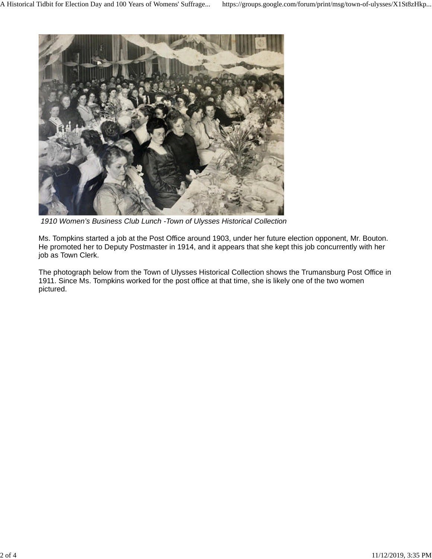

*1910 Women's Business Club Lunch -Town of Ulysses Historical Collection*

Ms. Tompkins started a job at the Post Office around 1903, under her future election opponent, Mr. Bouton. He promoted her to Deputy Postmaster in 1914, and it appears that she kept this job concurrently with her job as Town Clerk.

The photograph below from the Town of Ulysses Historical Collection shows the Trumansburg Post Office in 1911. Since Ms. Tompkins worked for the post office at that time, she is likely one of the two women pictured.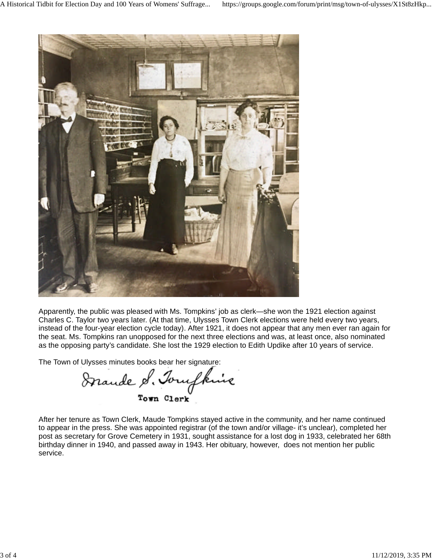

Apparently, the public was pleased with Ms. Tompkins' job as clerk—she won the 1921 election against Charles C. Taylor two years later. (At that time, Ulysses Town Clerk elections were held every two years, instead of the four-year election cycle today). After 1921, it does not appear that any men ever ran again for the seat. Ms. Tompkins ran unopposed for the next three elections and was, at least once, also nominated as the opposing party's candidate. She lost the 1929 election to Edith Updike after 10 years of service.

The Town of Ulysses minutes books bear her signature:<br>Stande of Torufking

After her tenure as Town Clerk, Maude Tompkins stayed active in the community, and her name continued to appear in the press. She was appointed registrar (of the town and/or village- it's unclear), completed her post as secretary for Grove Cemetery in 1931, sought assistance for a lost dog in 1933, celebrated her 68th birthday dinner in 1940, and passed away in 1943. Her obituary, however, does not mention her public service.